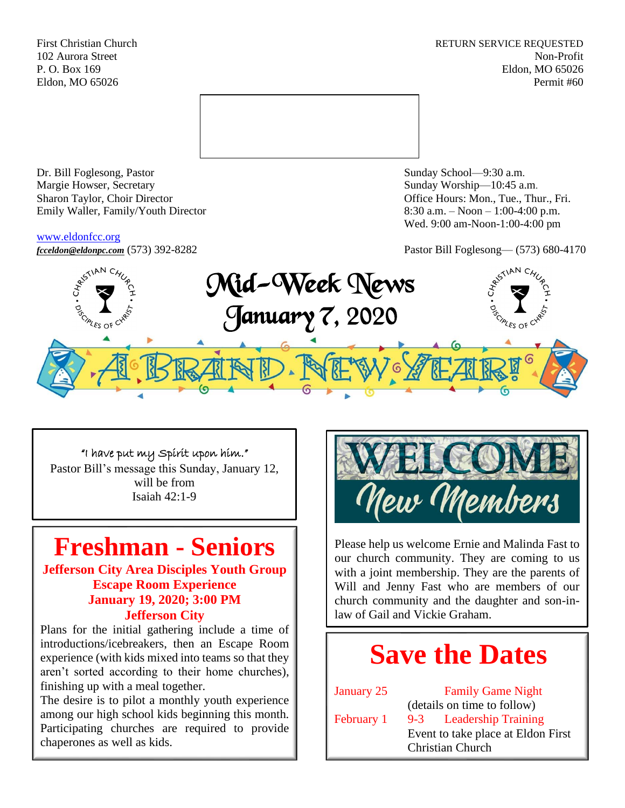First Christian Church **RETURN SERVICE REQUESTED** 102 Aurora Street Non-Profit P. O. Box 169 Eldon, MO 65026 Eldon, MO 65026 Permit #60



Dr. Bill Foglesong, Pastor Sunday School—9:30 a.m. Margie Howser, Secretary Sunday Worship—10:45 a.m. Sharon Taylor, Choir Director **Channel Controllering Controllering Controllering Controllering Controllering Controllering Controllering Controllering Controllering Controllering Controllering Controllering Controllering C** Emily Waller, Family/Youth Director 8:30 a.m. – Noon – 1:00-4:00 p.m.

#### [www.eldonfcc.org](http://www.eldonfcc.org/)

Wed. 9:00 am-Noon-1:00-4:00 pm



# "I have put my Spirit upon him."

Pastor Bill's message this Sunday, January 12, will be from Isaiah 42:1-9

# **Freshman - Seniors**

**Jefferson City Area Disciples Youth Group Escape Room Experience January 19, 2020; 3:00 PM Jefferson City**

Plans for the initial gathering include a time of introductions/icebreakers, then an Escape Room experience (with kids mixed into teams so that they aren't sorted according to their home churches), finishing up with a meal together.

The desire is to pilot a monthly youth experience among our high school kids beginning this month. Participating churches are required to provide chaperones as well as kids.



Please help us welcome Ernie and Malinda Fast to our church community. They are coming to us with a joint membership. They are the parents of Will and Jenny Fast who are members of our church community and the daughter and son-inlaw of Gail and Vickie Graham.

# **Save the Dates**

January 25 Family Game Night (details on time to follow) February 1 9-3 Leadership Training Event to take place at Eldon First Christian Church